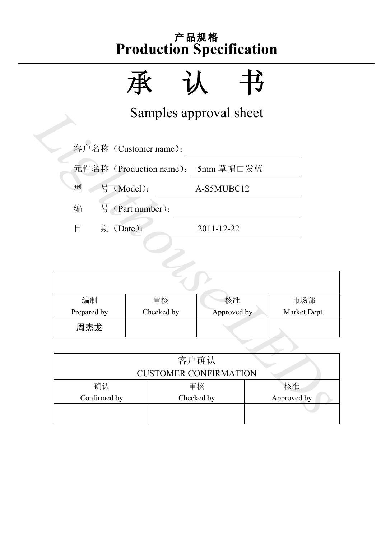承认书

Samples approval sheet

|                         |                                      | Samples approval sheet |              |  |  |  |  |  |
|-------------------------|--------------------------------------|------------------------|--------------|--|--|--|--|--|
| 客户名称 (Customer name):   |                                      |                        |              |  |  |  |  |  |
|                         | 元件名称 (Production name):<br>5mm 草帽白发蓝 |                        |              |  |  |  |  |  |
| 号 (Model):<br>型         |                                      | A-S5MUBC12             |              |  |  |  |  |  |
| 编                       | 号 (Part number):                     |                        |              |  |  |  |  |  |
| 期(Date):<br>$\boxminus$ |                                      | 2011-12-22             |              |  |  |  |  |  |
|                         |                                      |                        |              |  |  |  |  |  |
|                         |                                      |                        |              |  |  |  |  |  |
|                         |                                      |                        |              |  |  |  |  |  |
| 编制                      | 审核                                   | 核准                     | 市场部          |  |  |  |  |  |
| Prepared by             | Checked by                           | Approved by            | Market Dept. |  |  |  |  |  |
| 周杰龙                     |                                      |                        |              |  |  |  |  |  |
|                         |                                      |                        |              |  |  |  |  |  |
|                         | 客户确认                                 |                        |              |  |  |  |  |  |
|                         | <b>CUSTOMER CONFIRMATION</b>         |                        |              |  |  |  |  |  |
| 确认                      |                                      | 审核                     | 核准           |  |  |  |  |  |
| Confirmed by            |                                      | Checked by             | Approved by  |  |  |  |  |  |
|                         |                                      |                        |              |  |  |  |  |  |

|                              | 客户确认       |             |  |  |  |  |
|------------------------------|------------|-------------|--|--|--|--|
| <b>CUSTOMER CONFIRMATION</b> |            |             |  |  |  |  |
| 确认                           | 审核         | 核准          |  |  |  |  |
| Confirmed by                 | Checked by | Approved by |  |  |  |  |
|                              |            |             |  |  |  |  |
|                              |            |             |  |  |  |  |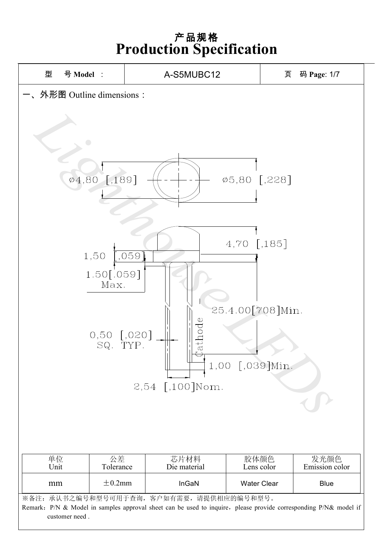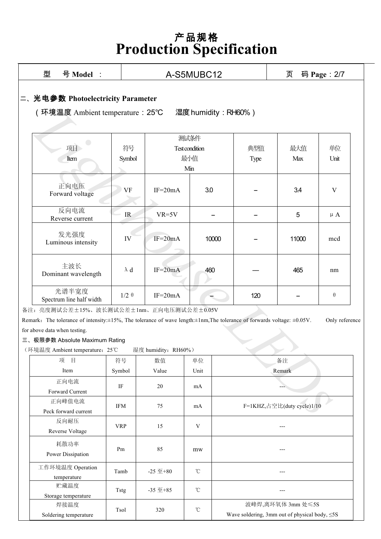|                                                                                            | 型<br>号 Model :                                                                                                                              |              |                                                     | A-S5MUBC12 |              |            | 页<br>码 Page: 2/7           |                |
|--------------------------------------------------------------------------------------------|---------------------------------------------------------------------------------------------------------------------------------------------|--------------|-----------------------------------------------------|------------|--------------|------------|----------------------------|----------------|
| 二、光电参数 Photoelectricity Parameter<br>(环境温度 Ambient temperature: 25℃<br>湿度 humidity: RH60%) |                                                                                                                                             |              |                                                     |            |              |            |                            |                |
|                                                                                            | 项目<br>Item                                                                                                                                  | 符号<br>Symbol | 测试条件<br>Test condition<br>典型值<br>最小值<br>Type<br>Min |            |              | 最大值<br>Max | 单位<br>Unit                 |                |
|                                                                                            | 正向电压<br>Forward voltage                                                                                                                     | <b>VF</b>    | $IF=20mA$                                           | 3.0        |              |            | 3.4                        | V              |
|                                                                                            | 反向电流<br>Reverse current                                                                                                                     | IR           | $VR=5V$                                             |            |              |            | 5                          | $\mu A$        |
|                                                                                            | 发光强度<br>Luminous intensity                                                                                                                  | IV           | $IF=20mA$                                           |            | 10000        |            | 11000                      | mcd            |
|                                                                                            | 主波长<br>Dominant wavelength                                                                                                                  | $\lambda$ d  | $IF=20mA$                                           | 460        |              |            | 465                        | nm             |
|                                                                                            | 光谱半宽度<br>Spectrum line half width                                                                                                           | $1/2 \theta$ | $IF=20mA$                                           |            |              | 120        |                            | $\theta$       |
|                                                                                            | 备注: 亮度测试公差±15%、波长测试公差±1nm、正向电压测试公差±0.05V                                                                                                    |              |                                                     |            |              |            |                            |                |
|                                                                                            | Remark: The tolerance of intensity: $\pm 15\%$ , The tolerance of wave length: $\pm 1$ nm, The tolerance of forwards voltage: $\pm 0.05$ V. |              |                                                     |            |              |            |                            | Only reference |
|                                                                                            | for above data when testing.                                                                                                                |              |                                                     |            |              |            |                            |                |
| 三、极限参数 Absolute Maximum Rating                                                             |                                                                                                                                             |              |                                                     |            |              |            |                            |                |
| 湿度 humidity: RH60%)<br>(环境温度 Ambient temperature: 25℃<br>项目                                |                                                                                                                                             |              |                                                     |            |              |            |                            |                |
|                                                                                            | Item                                                                                                                                        | 符号<br>Symbol | 数值<br>Value                                         | 单位<br>Unit | 备注<br>Remark |            |                            |                |
|                                                                                            | 正向电流<br>Forward Current                                                                                                                     | $\rm IF$     | 20                                                  | mA         |              |            |                            |                |
|                                                                                            | 正向峰值电流<br>Peck forward current                                                                                                              | IFM          | 75                                                  | mA         |              |            | F=1KHZ,占空比(duty cycle)1/10 |                |

| 伙<br>一口                         | 付万         | 致徂                      | 半位              | 宙注                                                                       |
|---------------------------------|------------|-------------------------|-----------------|--------------------------------------------------------------------------|
| Item                            | Symbol     | Value                   | Unit            | Remark                                                                   |
| 正向电流<br>Forward Current         | IF         | 20                      | mA              | ---                                                                      |
| 正向峰值电流<br>Peck forward current  | IFM        | 75                      | mA              | F=1KHZ, 占空比(duty cycle)1/10                                              |
| 反向耐压<br>Reverse Voltage         | <b>VRP</b> | 15                      | V               | ---                                                                      |
| 耗散功率<br>Power Dissipation       | Pm         | 85                      | mw              | ---                                                                      |
| 工作环境温度 Operation<br>temperature | Tamb       | -25 $\overline{4} + 80$ | °C              | ---                                                                      |
| 贮藏温度<br>Storage temperature     | Tstg       | $-35 \n  \pm 85$        | $\rm ^{\circ}C$ | ---                                                                      |
| 焊接温度<br>Soldering temperature   | Tsol       | 320                     | $\rm ^{\circ}C$ | 波峰焊,离环氧体 3mm 处≤5S<br>Wave soldering, 3mm out of physical body, $\leq$ 5S |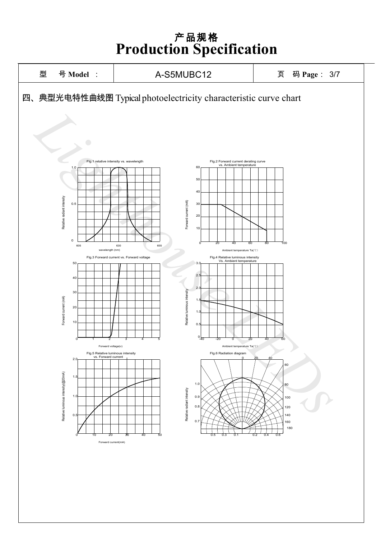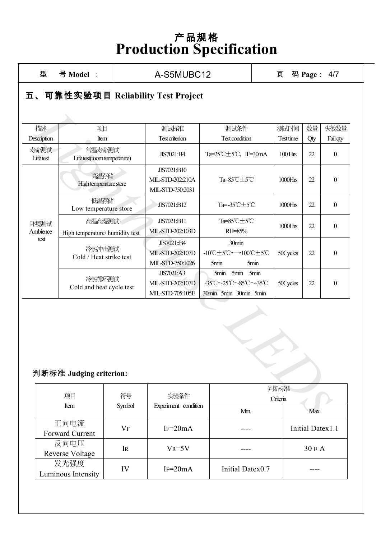| 撒述<br>Description        | 项目<br>Item                                | 测试标准<br><b>Test criterion</b>                       | 测试条件<br>Test condition                                           | 测试时间<br>Test time | 数量<br>Qty | 失效数量<br>Fail qty |
|--------------------------|-------------------------------------------|-----------------------------------------------------|------------------------------------------------------------------|-------------------|-----------|------------------|
| 寿命测试<br>Lifetest         | 常温寿命测试<br>Life test(room temperature)     | JIS7021:B4                                          | Ta= $25^{\circ}$ C $\pm$ 5 $^{\circ}$ C, IF=30mA                 | $100$ Hrs         | 22        | $\boldsymbol{0}$ |
|                          | 高温存储<br>High temperature store            | JIS7021:B10<br>MIL-STD-202:210A<br>MIL-STD-750:2031 | Ta=85°C±5°C                                                      | 1000Hrs           | 22        | $\boldsymbol{0}$ |
|                          | 低温存储<br>Low temperature store             | JIS7021:B12                                         | Ta=-35℃±5℃                                                       | $1000$ Hrs        | 22        | $\boldsymbol{0}$ |
| 环境测试<br>Ambience<br>test | 高温高湿测试<br>High temperature/ humidity test | JIS7021:B11<br>MIL-STD-202:103D                     | Ta=85°C±5°C<br>RH=85%                                            | 1000Hrs           | 22        | $\boldsymbol{0}$ |
|                          | 冷热冲击测试<br>Cold / Heat strike test         | JIS7021::B4<br>MIL-STD-202:107D<br>MIL-STD-750:1026 | 30min<br>-10℃±5℃←→100℃±5℃<br>5min<br>5 <sub>min</sub>            | 50Cycles          | 22        | $\boldsymbol{0}$ |
|                          | 冷热循环测试<br>Cold and heat cycle test        | JIS7021:A3<br>MIL-STD-202:107D<br>MIL-STD-705:105E  | 5min 5min 5min<br>-35°C~25°C~85°C~-35°C<br>30min 5min 30min 5min | 50Cycles          | 22        | $\boldsymbol{0}$ |
|                          | 判断标准 Judging criterion:                   |                                                     |                                                                  |                   |           |                  |
|                          |                                           |                                                     |                                                                  |                   |           |                  |
|                          | 项目<br>符号                                  | 实验条件                                                |                                                                  | 判断标准<br>Criteria  |           |                  |

#### 判断标准 **Judging criterion:**

| 项目                             | 符号<br>实验条件 |                      |                  | 判断标准<br>Criteria |  |  |
|--------------------------------|------------|----------------------|------------------|------------------|--|--|
| <b>Item</b>                    | Symbol     | Experiment condition | Min.             | Max.             |  |  |
| 正向电流<br><b>Forward Current</b> | $\rm V_F$  | $IF = 20mA$          |                  | Initial Datex1.1 |  |  |
| 反向电压<br><b>Reverse Voltage</b> | IR         | $V_R = 5V$           |                  | $30 \mu A$       |  |  |
| 发光强度<br>Luminous Intensity     | IV         | $IF=20mA$            | Initial Datex0.7 |                  |  |  |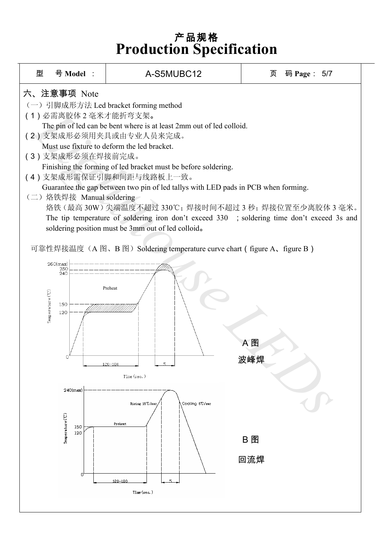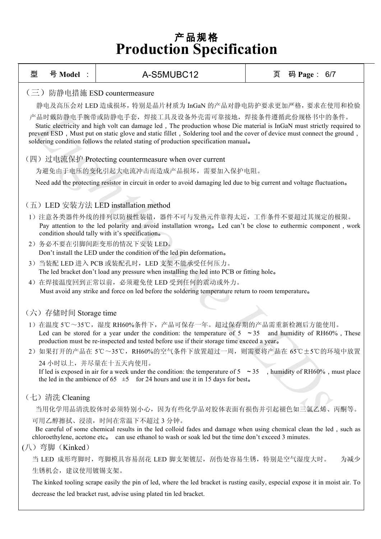| 型                                                                                                                                                                                                                                                                                                                                                                                            | 号 Model :                                                                                                                                                                                                                                                                  | A-S5MUBC12                                                                                                                                                                                                                                                           | 页 | 码 Page: 6/7 |     |  |  |  |
|----------------------------------------------------------------------------------------------------------------------------------------------------------------------------------------------------------------------------------------------------------------------------------------------------------------------------------------------------------------------------------------------|----------------------------------------------------------------------------------------------------------------------------------------------------------------------------------------------------------------------------------------------------------------------------|----------------------------------------------------------------------------------------------------------------------------------------------------------------------------------------------------------------------------------------------------------------------|---|-------------|-----|--|--|--|
| $\left(\equiv\right)$                                                                                                                                                                                                                                                                                                                                                                        |                                                                                                                                                                                                                                                                            | 防静电措施 ESD countermeasure                                                                                                                                                                                                                                             |   |             |     |  |  |  |
|                                                                                                                                                                                                                                                                                                                                                                                              | 静电及高压会对 LED 造成损坏, 特别是晶片材质为 InGaN 的产品对静电防护要求更加严格, 要求在使用和检验                                                                                                                                                                                                                  |                                                                                                                                                                                                                                                                      |   |             |     |  |  |  |
| 产品时戴防静电手腕带或防静电手套,焊接工具及设备外壳需可靠接地,焊接条件遵循此份规格书中的条件。<br>Static electricity and high volt can damage led, The production whose Die material is InGaN must strictly required to<br>prevent ESD, Must put on static glove and static fillet, Soldering tool and the cover of device must connect the ground,<br>soldering condition follows the related stating of production specification manual. |                                                                                                                                                                                                                                                                            |                                                                                                                                                                                                                                                                      |   |             |     |  |  |  |
|                                                                                                                                                                                                                                                                                                                                                                                              |                                                                                                                                                                                                                                                                            | (四) 过电流保护 Protecting countermeasure when over current                                                                                                                                                                                                                |   |             |     |  |  |  |
|                                                                                                                                                                                                                                                                                                                                                                                              |                                                                                                                                                                                                                                                                            | 为避免由于电压的变化引起大电流冲击而造成产品损坏, 需要加入保护电阻。                                                                                                                                                                                                                                  |   |             |     |  |  |  |
|                                                                                                                                                                                                                                                                                                                                                                                              |                                                                                                                                                                                                                                                                            | Need add the protecting resistor in circuit in order to avoid damaging led due to big current and voltage fluctuation.                                                                                                                                               |   |             |     |  |  |  |
|                                                                                                                                                                                                                                                                                                                                                                                              |                                                                                                                                                                                                                                                                            | (五) LED 安装方法 LED installation method                                                                                                                                                                                                                                 |   |             |     |  |  |  |
|                                                                                                                                                                                                                                                                                                                                                                                              |                                                                                                                                                                                                                                                                            | 1) 注意各类器件外线的排列以防极性装错,器件不可与发热元件靠得太近,工作条件不要超过其规定的极限。<br>Pay attention to the led polarity and avoid installation wrong. Led can't be close to euthermic component, work<br>condition should tally with it's specification.                                             |   |             |     |  |  |  |
|                                                                                                                                                                                                                                                                                                                                                                                              |                                                                                                                                                                                                                                                                            | 2) 务必不要在引脚间距变形的情况下安装 LED。<br>Don't install the LED under the condition of the led pin deformation.                                                                                                                                                                   |   |             |     |  |  |  |
|                                                                                                                                                                                                                                                                                                                                                                                              |                                                                                                                                                                                                                                                                            | 3) 当装配 LED 进入 PCB 或装配孔时, LED 支架不能承受任何压力。<br>The led bracket don't load any pressure when installing the led into PCB or fitting hole.                                                                                                                                |   |             |     |  |  |  |
|                                                                                                                                                                                                                                                                                                                                                                                              |                                                                                                                                                                                                                                                                            | 4) 在焊接温度回到正常以前, 必须避免使 LED 受到任何的震动或外力。<br>Must avoid any strike and force on led before the soldering temperature return to room temperature.                                                                                                                         |   |             |     |  |  |  |
|                                                                                                                                                                                                                                                                                                                                                                                              | (六) 存储时间 Storage time                                                                                                                                                                                                                                                      |                                                                                                                                                                                                                                                                      |   |             |     |  |  |  |
|                                                                                                                                                                                                                                                                                                                                                                                              |                                                                                                                                                                                                                                                                            | 1) 在温度 5℃~35℃,湿度 RH60%条件下,产品可保存一年。超过保存期的产品需重新检测后方能使用。<br>Led can be stored for a year under the condition: the temperature of $5 \sim 35$ and humidity of RH60%, These<br>production must be re-inspected and tested before use if their storage time exceed a year. |   |             |     |  |  |  |
|                                                                                                                                                                                                                                                                                                                                                                                              |                                                                                                                                                                                                                                                                            | 2) 如果打开的产品在 5℃~35℃, RH60%的空气条件下放置超过一周, 则需要将产品在 65℃±5℃的环境中放置                                                                                                                                                                                                          |   |             |     |  |  |  |
|                                                                                                                                                                                                                                                                                                                                                                                              | 24 小时以上,并尽量在十五天内使用。<br>If led is exposed in air for a week under the condition: the temperature of $5 \approx 35$<br>, humidity of RH60%, must place<br>the led in the ambience of 65 $\pm$ 5 for 24 hours and use it in 15 days for best.                                 |                                                                                                                                                                                                                                                                      |   |             |     |  |  |  |
|                                                                                                                                                                                                                                                                                                                                                                                              | (七) 清洗 Cleaning                                                                                                                                                                                                                                                            |                                                                                                                                                                                                                                                                      |   |             |     |  |  |  |
|                                                                                                                                                                                                                                                                                                                                                                                              |                                                                                                                                                                                                                                                                            | 当用化学用品清洗胶体时必须特别小心,因为有些化学品对胶体表面有损伤并引起褪色如三氯乙烯、丙酮等。                                                                                                                                                                                                                     |   |             |     |  |  |  |
|                                                                                                                                                                                                                                                                                                                                                                                              | 可用乙醇擦拭、浸渍, 时间在常温下不超过3分钟。<br>Be careful of some chemical results in the led colloid fades and damage when using chemical clean the led, such as<br>chloroethylene, acetone etc. can use ethanol to wash or soak led but the time don't exceed 3 minutes.<br>(八) 弯脚 (Kinked) |                                                                                                                                                                                                                                                                      |   |             |     |  |  |  |
|                                                                                                                                                                                                                                                                                                                                                                                              |                                                                                                                                                                                                                                                                            | 当 LED 成形弯脚时,弯脚模具容易刮花 LED 脚支架镀层,刮伤处容易生锈,特别是空气湿度大时。                                                                                                                                                                                                                    |   |             | 为减少 |  |  |  |
|                                                                                                                                                                                                                                                                                                                                                                                              | 生锈机会, 建议使用镀锡支架。                                                                                                                                                                                                                                                            |                                                                                                                                                                                                                                                                      |   |             |     |  |  |  |
|                                                                                                                                                                                                                                                                                                                                                                                              | The kinked tooling scrape easily the pin of led, where the led bracket is rusting easily, especial expose it in moist air. To                                                                                                                                              |                                                                                                                                                                                                                                                                      |   |             |     |  |  |  |
|                                                                                                                                                                                                                                                                                                                                                                                              | decrease the led bracket rust, advise using plated tin led bracket.                                                                                                                                                                                                        |                                                                                                                                                                                                                                                                      |   |             |     |  |  |  |